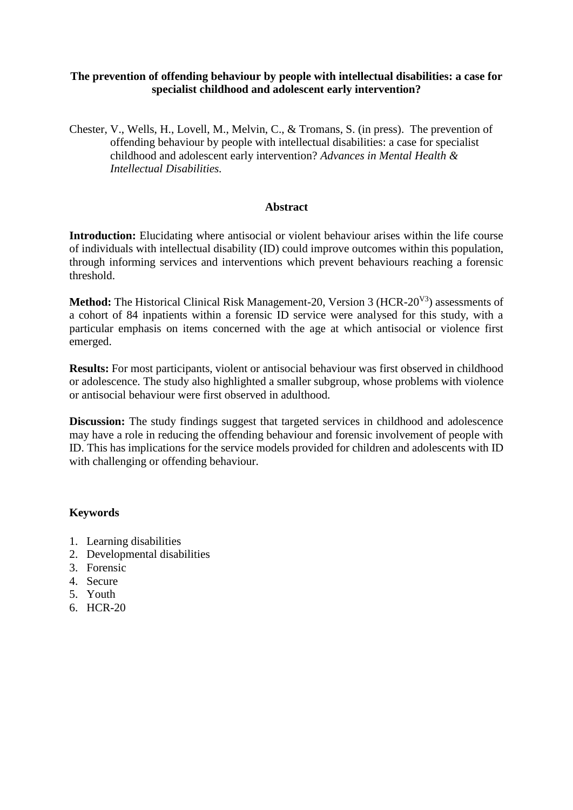## **The prevention of offending behaviour by people with intellectual disabilities: a case for specialist childhood and adolescent early intervention?**

Chester, V., Wells, H., Lovell, M., Melvin, C., & Tromans, S. (in press). The prevention of offending behaviour by people with intellectual disabilities: a case for specialist childhood and adolescent early intervention? *Advances in Mental Health & Intellectual Disabilities.*

## **Abstract**

**Introduction:** Elucidating where antisocial or violent behaviour arises within the life course of individuals with intellectual disability (ID) could improve outcomes within this population, through informing services and interventions which prevent behaviours reaching a forensic threshold.

**Method:** The Historical Clinical Risk Management-20, Version 3 (HCR-20<sup>V3</sup>) assessments of a cohort of 84 inpatients within a forensic ID service were analysed for this study, with a particular emphasis on items concerned with the age at which antisocial or violence first emerged.

**Results:** For most participants, violent or antisocial behaviour was first observed in childhood or adolescence. The study also highlighted a smaller subgroup, whose problems with violence or antisocial behaviour were first observed in adulthood.

**Discussion:** The study findings suggest that targeted services in childhood and adolescence may have a role in reducing the offending behaviour and forensic involvement of people with ID. This has implications for the service models provided for children and adolescents with ID with challenging or offending behaviour.

## **Keywords**

- 1. Learning disabilities
- 2. Developmental disabilities
- 3. Forensic
- 4. Secure
- 5. Youth
- 6. HCR-20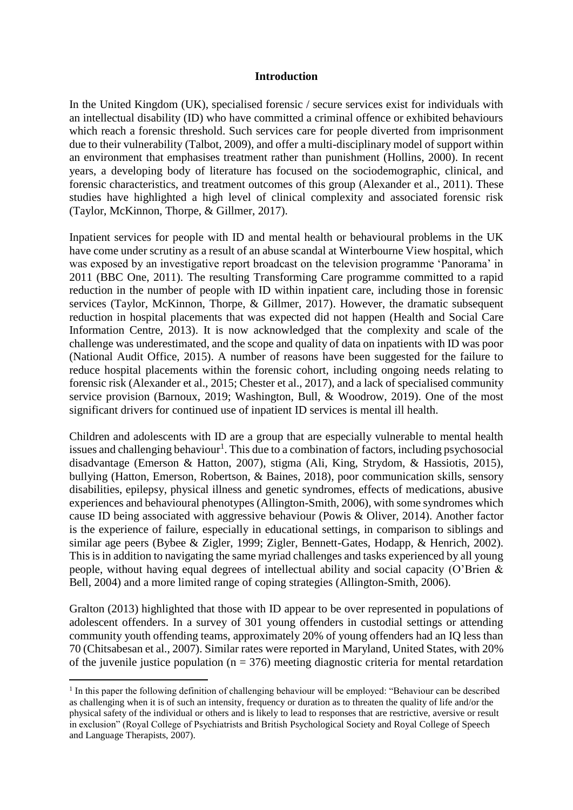### **Introduction**

In the United Kingdom (UK), specialised forensic / secure services exist for individuals with an intellectual disability (ID) who have committed a criminal offence or exhibited behaviours which reach a forensic threshold. Such services care for people diverted from imprisonment due to their vulnerability (Talbot, 2009), and offer a multi-disciplinary model of support within an environment that emphasises treatment rather than punishment (Hollins, 2000). In recent years, a developing body of literature has focused on the sociodemographic, clinical, and forensic characteristics, and treatment outcomes of this group (Alexander et al., 2011). These studies have highlighted a high level of clinical complexity and associated forensic risk (Taylor, McKinnon, Thorpe, & Gillmer, 2017).

Inpatient services for people with ID and mental health or behavioural problems in the UK have come under scrutiny as a result of an abuse scandal at Winterbourne View hospital, which was exposed by an investigative report broadcast on the television programme 'Panorama' in 2011 (BBC One, 2011). The resulting Transforming Care programme committed to a rapid reduction in the number of people with ID within inpatient care, including those in forensic services (Taylor, McKinnon, Thorpe, & Gillmer, 2017). However, the dramatic subsequent reduction in hospital placements that was expected did not happen (Health and Social Care Information Centre, 2013). It is now acknowledged that the complexity and scale of the challenge was underestimated, and the scope and quality of data on inpatients with ID was poor (National Audit Office, 2015). A number of reasons have been suggested for the failure to reduce hospital placements within the forensic cohort, including ongoing needs relating to forensic risk (Alexander et al., 2015; Chester et al., 2017), and a lack of specialised community service provision (Barnoux, 2019; Washington, Bull, & Woodrow, 2019). One of the most significant drivers for continued use of inpatient ID services is mental ill health.

Children and adolescents with ID are a group that are especially vulnerable to mental health issues and challenging behaviour<sup>1</sup>. This due to a combination of factors, including psychosocial disadvantage (Emerson & Hatton, 2007), stigma (Ali, King, Strydom, & Hassiotis, 2015), bullying (Hatton, Emerson, Robertson, & Baines, 2018), poor communication skills, sensory disabilities, epilepsy, physical illness and genetic syndromes, effects of medications, abusive experiences and behavioural phenotypes (Allington-Smith, 2006), with some syndromes which cause ID being associated with aggressive behaviour (Powis & Oliver, 2014). Another factor is the experience of failure, especially in educational settings, in comparison to siblings and similar age peers (Bybee & Zigler, 1999; Zigler, Bennett-Gates, Hodapp, & Henrich, 2002). This is in addition to navigating the same myriad challenges and tasks experienced by all young people, without having equal degrees of intellectual ability and social capacity (O'Brien & Bell, 2004) and a more limited range of coping strategies (Allington-Smith, 2006).

Gralton (2013) highlighted that those with ID appear to be over represented in populations of adolescent offenders. In a survey of 301 young offenders in custodial settings or attending community youth offending teams, approximately 20% of young offenders had an IQ less than 70 (Chitsabesan et al., 2007). Similar rates were reported in Maryland, United States, with 20% of the juvenile justice population ( $n = 376$ ) meeting diagnostic criteria for mental retardation

-

<sup>&</sup>lt;sup>1</sup> In this paper the following definition of challenging behaviour will be employed: "Behaviour can be described as challenging when it is of such an intensity, frequency or duration as to threaten the quality of life and/or the physical safety of the individual or others and is likely to lead to responses that are restrictive, aversive or result in exclusion" (Royal College of Psychiatrists and British Psychological Society and Royal College of Speech and Language Therapists, 2007).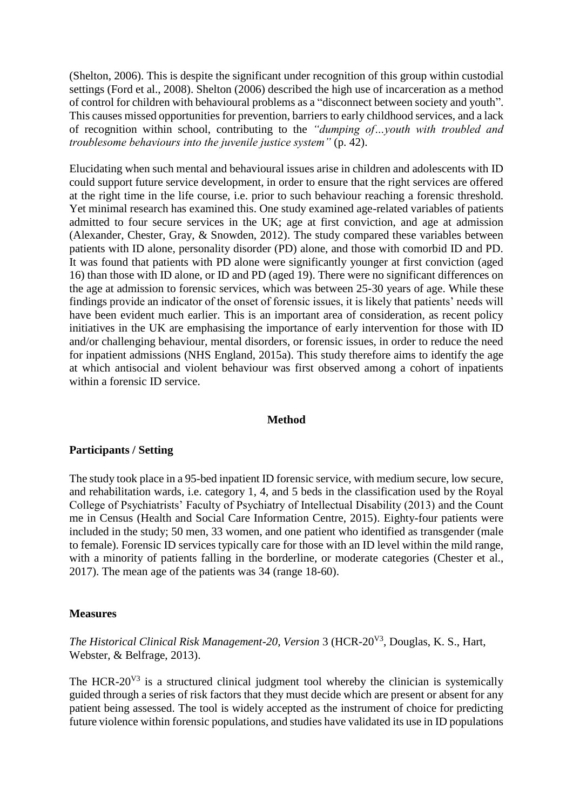(Shelton, 2006). This is despite the significant under recognition of this group within custodial settings (Ford et al., 2008). Shelton (2006) described the high use of incarceration as a method of control for children with behavioural problems as a "disconnect between society and youth". This causes missed opportunities for prevention, barriers to early childhood services, and a lack of recognition within school, contributing to the *"dumping of…youth with troubled and troublesome behaviours into the juvenile justice system"* (p. 42).

Elucidating when such mental and behavioural issues arise in children and adolescents with ID could support future service development, in order to ensure that the right services are offered at the right time in the life course, i.e. prior to such behaviour reaching a forensic threshold. Yet minimal research has examined this. One study examined age-related variables of patients admitted to four secure services in the UK; age at first conviction, and age at admission (Alexander, Chester, Gray, & Snowden, 2012). The study compared these variables between patients with ID alone, personality disorder (PD) alone, and those with comorbid ID and PD. It was found that patients with PD alone were significantly younger at first conviction (aged 16) than those with ID alone, or ID and PD (aged 19). There were no significant differences on the age at admission to forensic services, which was between 25-30 years of age. While these findings provide an indicator of the onset of forensic issues, it is likely that patients' needs will have been evident much earlier. This is an important area of consideration, as recent policy initiatives in the UK are emphasising the importance of early intervention for those with ID and/or challenging behaviour, mental disorders, or forensic issues, in order to reduce the need for inpatient admissions (NHS England, 2015a). This study therefore aims to identify the age at which antisocial and violent behaviour was first observed among a cohort of inpatients within a forensic ID service.

#### **Method**

### **Participants / Setting**

The study took place in a 95-bed inpatient ID forensic service, with medium secure, low secure, and rehabilitation wards, i.e. category 1, 4, and 5 beds in the classification used by the Royal College of Psychiatrists' Faculty of Psychiatry of Intellectual Disability (2013) and the Count me in Census (Health and Social Care Information Centre, 2015). Eighty-four patients were included in the study; 50 men, 33 women, and one patient who identified as transgender (male to female). Forensic ID services typically care for those with an ID level within the mild range, with a minority of patients falling in the borderline, or moderate categories (Chester et al., 2017). The mean age of the patients was 34 (range 18-60).

### **Measures**

*The Historical Clinical Risk Management-20, Version* 3 (HCR-20V3 , Douglas, K. S., Hart, Webster, & Belfrage, 2013).

The HCR- $20^{V3}$  is a structured clinical judgment tool whereby the clinician is systemically guided through a series of risk factors that they must decide which are present or absent for any patient being assessed. The tool is widely accepted as the instrument of choice for predicting future violence within forensic populations, and studies have validated its use in ID populations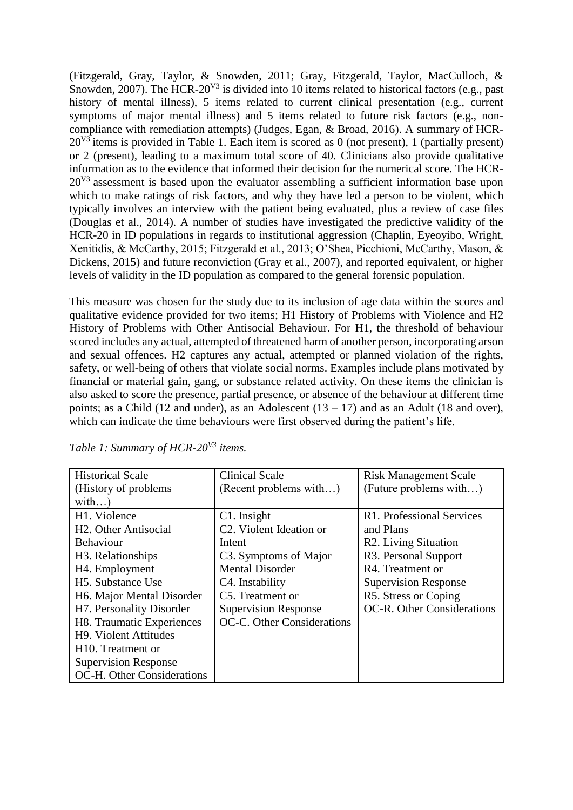(Fitzgerald, Gray, Taylor, & Snowden, 2011; Gray, Fitzgerald, Taylor, MacCulloch, & Snowden, 2007). The HCR-20<sup>V3</sup> is divided into 10 items related to historical factors (e.g., past history of mental illness), 5 items related to current clinical presentation (e.g., current symptoms of major mental illness) and 5 items related to future risk factors (e.g., noncompliance with remediation attempts) (Judges, Egan, & Broad, 2016). A summary of HCR- $20^{V3}$  items is provided in Table 1. Each item is scored as 0 (not present), 1 (partially present) or 2 (present), leading to a maximum total score of 40. Clinicians also provide qualitative information as to the evidence that informed their decision for the numerical score. The HCR- $20<sup>V3</sup>$  assessment is based upon the evaluator assembling a sufficient information base upon which to make ratings of risk factors, and why they have led a person to be violent, which typically involves an interview with the patient being evaluated, plus a review of case files (Douglas et al., 2014). A number of studies have investigated the predictive validity of the HCR-20 in ID populations in regards to institutional aggression (Chaplin, Eyeoyibo, Wright, Xenitidis, & McCarthy, 2015; Fitzgerald et al., 2013; O'Shea, Picchioni, McCarthy, Mason, & Dickens, 2015) and future reconviction (Gray et al., 2007), and reported equivalent, or higher levels of validity in the ID population as compared to the general forensic population.

This measure was chosen for the study due to its inclusion of age data within the scores and qualitative evidence provided for two items; H1 History of Problems with Violence and H2 History of Problems with Other Antisocial Behaviour. For H1, the threshold of behaviour scored includes any actual, attempted of threatened harm of another person, incorporating arson and sexual offences. H2 captures any actual, attempted or planned violation of the rights, safety, or well-being of others that violate social norms. Examples include plans motivated by financial or material gain, gang, or substance related activity. On these items the clinician is also asked to score the presence, partial presence, or absence of the behaviour at different time points; as a Child (12 and under), as an Adolescent  $(13 - 17)$  and as an Adult (18 and over), which can indicate the time behaviours were first observed during the patient's life.

| <b>Historical Scale</b>            | <b>Clinical Scale</b>                | <b>Risk Management Scale</b>      |  |  |
|------------------------------------|--------------------------------------|-----------------------------------|--|--|
| (History of problems)              | (Recent problems with)               | (Future problems with)            |  |  |
| with)                              |                                      |                                   |  |  |
| H1. Violence                       | $C1.$ Insight                        | R1. Professional Services         |  |  |
| H <sub>2</sub> . Other Antisocial  | C <sub>2</sub> . Violent Ideation or | and Plans                         |  |  |
| <b>Behaviour</b>                   | Intent                               | R <sub>2</sub> . Living Situation |  |  |
| H <sub>3</sub> . Relationships     | C3. Symptoms of Major                | R <sub>3</sub> . Personal Support |  |  |
| H <sub>4</sub> . Employment        | <b>Mental Disorder</b>               | R4. Treatment or                  |  |  |
| H <sub>5</sub> . Substance Use     | C <sub>4</sub> . Instability         | <b>Supervision Response</b>       |  |  |
| H6. Major Mental Disorder          | C5. Treatment or                     | R5. Stress or Coping              |  |  |
| H7. Personality Disorder           | <b>Supervision Response</b>          | OC-R. Other Considerations        |  |  |
| H8. Traumatic Experiences          | OC-C. Other Considerations           |                                   |  |  |
| H <sub>9</sub> . Violent Attitudes |                                      |                                   |  |  |
| H <sub>10</sub> . Treatment or     |                                      |                                   |  |  |
| <b>Supervision Response</b>        |                                      |                                   |  |  |
| OC-H. Other Considerations         |                                      |                                   |  |  |

*Table 1: Summary of HCR-20V3 items.*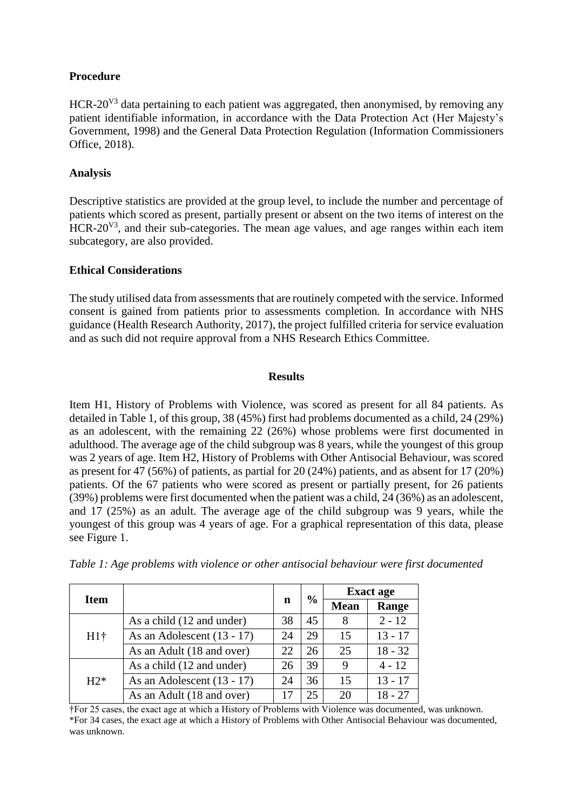# **Procedure**

HCR-20<sup>V3</sup> data pertaining to each patient was aggregated, then anonymised, by removing any patient identifiable information, in accordance with the Data Protection Act (Her Majesty's Government, 1998) and the General Data Protection Regulation (Information Commissioners Office, 2018).

# **Analysis**

Descriptive statistics are provided at the group level, to include the number and percentage of patients which scored as present, partially present or absent on the two items of interest on the  $HCR-20<sup>V3</sup>$ , and their sub-categories. The mean age values, and age ranges within each item subcategory, are also provided.

## **Ethical Considerations**

The study utilised data from assessments that are routinely competed with the service. Informed consent is gained from patients prior to assessments completion. In accordance with NHS guidance (Health Research Authority, 2017), the project fulfilled criteria for service evaluation and as such did not require approval from a NHS Research Ethics Committee.

## **Results**

Item H1, History of Problems with Violence, was scored as present for all 84 patients. As detailed in Table 1, of this group, 38 (45%) first had problems documented as a child, 24 (29%) as an adolescent, with the remaining 22 (26%) whose problems were first documented in adulthood. The average age of the child subgroup was 8 years, while the youngest of this group was 2 years of age. Item H2, History of Problems with Other Antisocial Behaviour, was scored as present for 47 (56%) of patients, as partial for 20 (24%) patients, and as absent for 17 (20%) patients. Of the 67 patients who were scored as present or partially present, for 26 patients (39%) problems were first documented when the patient was a child, 24 (36%) as an adolescent, and 17 (25%) as an adult. The average age of the child subgroup was 9 years, while the youngest of this group was 4 years of age. For a graphical representation of this data, please see Figure 1.

|             |                              |    | $\frac{0}{0}$ | <b>Exact age</b> |           |
|-------------|------------------------------|----|---------------|------------------|-----------|
| <b>Item</b> |                              | n  |               | <b>Mean</b>      | Range     |
| $H1\dagger$ | As a child (12 and under)    | 38 | 45            | 8                | $2 - 12$  |
|             | As an Adolescent $(13 - 17)$ | 24 | 29            | 15               | $13 - 17$ |
|             | As an Adult (18 and over)    | 22 | 26            | 25               | $18 - 32$ |
| $H2*$       | As a child (12 and under)    | 26 | 39            | 9                | $4 - 12$  |
|             | As an Adolescent $(13 - 17)$ | 24 | 36            | 15               | $13 - 17$ |
|             | As an Adult (18 and over)    |    | 25            | 20               | 18 - 27   |

*Table 1: Age problems with violence or other antisocial behaviour were first documented*

†For 25 cases, the exact age at which a History of Problems with Violence was documented, was unknown. \*For 34 cases, the exact age at which a History of Problems with Other Antisocial Behaviour was documented, was unknown.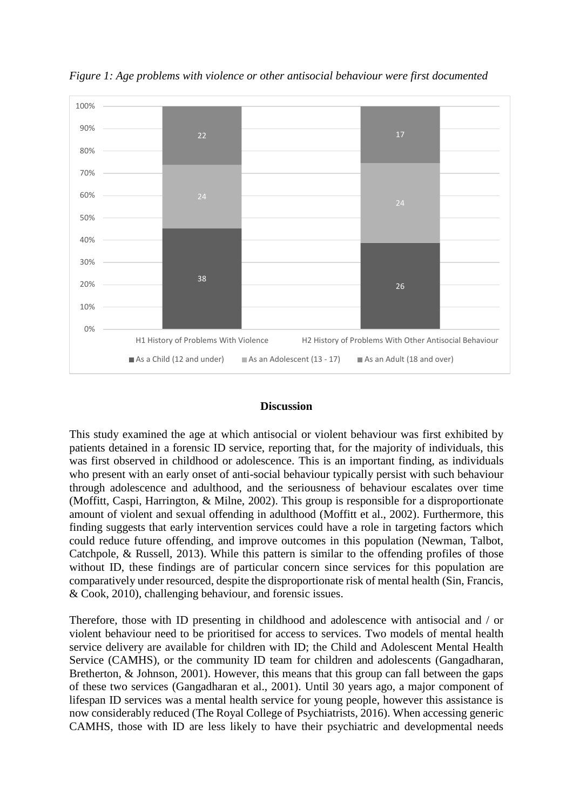

*Figure 1: Age problems with violence or other antisocial behaviour were first documented*

## **Discussion**

This study examined the age at which antisocial or violent behaviour was first exhibited by patients detained in a forensic ID service, reporting that, for the majority of individuals, this was first observed in childhood or adolescence. This is an important finding, as individuals who present with an early onset of anti-social behaviour typically persist with such behaviour through adolescence and adulthood, and the seriousness of behaviour escalates over time (Moffitt, Caspi, Harrington, & Milne, 2002). This group is responsible for a disproportionate amount of violent and sexual offending in adulthood (Moffitt et al., 2002). Furthermore, this finding suggests that early intervention services could have a role in targeting factors which could reduce future offending, and improve outcomes in this population (Newman, Talbot, Catchpole, & Russell, 2013). While this pattern is similar to the offending profiles of those without ID, these findings are of particular concern since services for this population are comparatively under resourced, despite the disproportionate risk of mental health (Sin, Francis, & Cook, 2010), challenging behaviour, and forensic issues.

Therefore, those with ID presenting in childhood and adolescence with antisocial and / or violent behaviour need to be prioritised for access to services. Two models of mental health service delivery are available for children with ID; the Child and Adolescent Mental Health Service (CAMHS), or the community ID team for children and adolescents (Gangadharan, Bretherton, & Johnson, 2001). However, this means that this group can fall between the gaps of these two services (Gangadharan et al., 2001). Until 30 years ago, a major component of lifespan ID services was a mental health service for young people, however this assistance is now considerably reduced (The Royal College of Psychiatrists, 2016). When accessing generic CAMHS, those with ID are less likely to have their psychiatric and developmental needs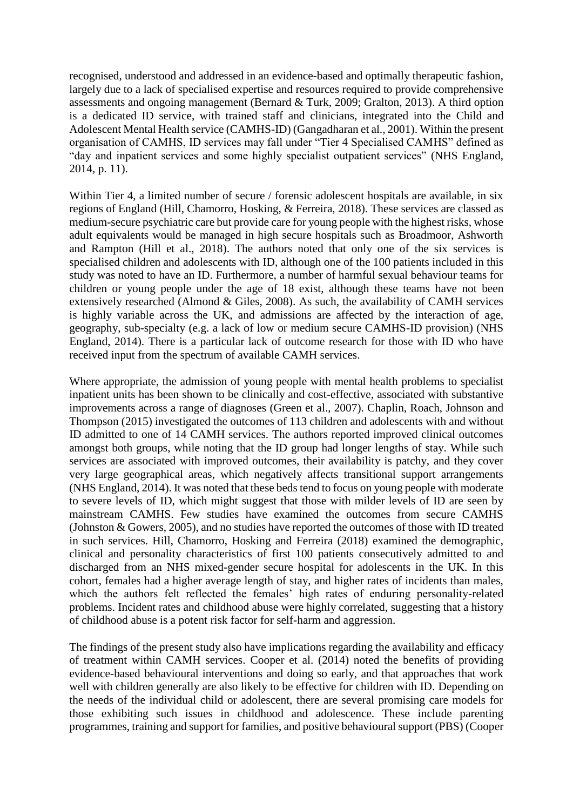recognised, understood and addressed in an evidence-based and optimally therapeutic fashion, largely due to a lack of specialised expertise and resources required to provide comprehensive assessments and ongoing management (Bernard & Turk, 2009; Gralton, 2013). A third option is a dedicated ID service, with trained staff and clinicians, integrated into the Child and Adolescent Mental Health service (CAMHS-ID) (Gangadharan et al., 2001). Within the present organisation of CAMHS, ID services may fall under "Tier 4 Specialised CAMHS" defined as "day and inpatient services and some highly specialist outpatient services" (NHS England, 2014, p. 11).

Within Tier 4, a limited number of secure / forensic adolescent hospitals are available, in six regions of England (Hill, Chamorro, Hosking, & Ferreira, 2018). These services are classed as medium-secure psychiatric care but provide care for young people with the highest risks, whose adult equivalents would be managed in high secure hospitals such as Broadmoor, Ashworth and Rampton (Hill et al., 2018). The authors noted that only one of the six services is specialised children and adolescents with ID, although one of the 100 patients included in this study was noted to have an ID. Furthermore, a number of harmful sexual behaviour teams for children or young people under the age of 18 exist, although these teams have not been extensively researched (Almond & Giles, 2008). As such, the availability of CAMH services is highly variable across the UK, and admissions are affected by the interaction of age, geography, sub-specialty (e.g. a lack of low or medium secure CAMHS-ID provision) (NHS England, 2014). There is a particular lack of outcome research for those with ID who have received input from the spectrum of available CAMH services.

Where appropriate, the admission of young people with mental health problems to specialist inpatient units has been shown to be clinically and cost-effective, associated with substantive improvements across a range of diagnoses (Green et al., 2007). Chaplin, Roach, Johnson and Thompson (2015) investigated the outcomes of 113 children and adolescents with and without ID admitted to one of 14 CAMH services. The authors reported improved clinical outcomes amongst both groups, while noting that the ID group had longer lengths of stay. While such services are associated with improved outcomes, their availability is patchy, and they cover very large geographical areas, which negatively affects transitional support arrangements (NHS England, 2014). It was noted that these beds tend to focus on young people with moderate to severe levels of ID, which might suggest that those with milder levels of ID are seen by mainstream CAMHS. Few studies have examined the outcomes from secure CAMHS (Johnston & Gowers, 2005), and no studies have reported the outcomes of those with ID treated in such services. Hill, Chamorro, Hosking and Ferreira (2018) examined the demographic, clinical and personality characteristics of first 100 patients consecutively admitted to and discharged from an NHS mixed-gender secure hospital for adolescents in the UK. In this cohort, females had a higher average length of stay, and higher rates of incidents than males, which the authors felt reflected the females' high rates of enduring personality-related problems. Incident rates and childhood abuse were highly correlated, suggesting that a history of childhood abuse is a potent risk factor for self-harm and aggression.

The findings of the present study also have implications regarding the availability and efficacy of treatment within CAMH services. Cooper et al. (2014) noted the benefits of providing evidence-based behavioural interventions and doing so early, and that approaches that work well with children generally are also likely to be effective for children with ID. Depending on the needs of the individual child or adolescent, there are several promising care models for those exhibiting such issues in childhood and adolescence. These include parenting programmes, training and support for families, and positive behavioural support (PBS) (Cooper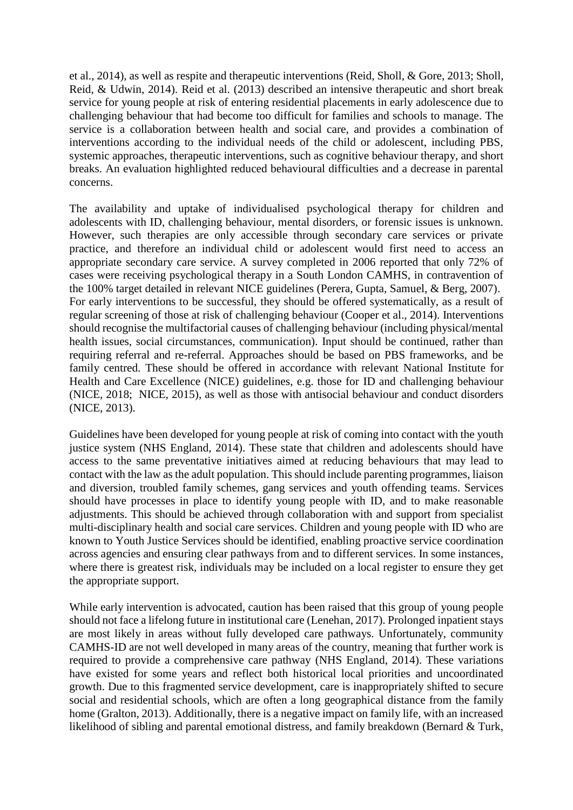et al., 2014), as well as respite and therapeutic interventions (Reid, Sholl, & Gore, 2013; Sholl, Reid, & Udwin, 2014). Reid et al. (2013) described an intensive therapeutic and short break service for young people at risk of entering residential placements in early adolescence due to challenging behaviour that had become too difficult for families and schools to manage. The service is a collaboration between health and social care, and provides a combination of interventions according to the individual needs of the child or adolescent, including PBS, systemic approaches, therapeutic interventions, such as cognitive behaviour therapy, and short breaks. An evaluation highlighted reduced behavioural difficulties and a decrease in parental concerns.

The availability and uptake of individualised psychological therapy for children and adolescents with ID, challenging behaviour, mental disorders, or forensic issues is unknown. However, such therapies are only accessible through secondary care services or private practice, and therefore an individual child or adolescent would first need to access an appropriate secondary care service. A survey completed in 2006 reported that only 72% of cases were receiving psychological therapy in a South London CAMHS, in contravention of the 100% target detailed in relevant NICE guidelines (Perera, Gupta, Samuel, & Berg, 2007). For early interventions to be successful, they should be offered systematically, as a result of regular screening of those at risk of challenging behaviour (Cooper et al., 2014). Interventions should recognise the multifactorial causes of challenging behaviour (including physical/mental health issues, social circumstances, communication). Input should be continued, rather than requiring referral and re-referral. Approaches should be based on PBS frameworks, and be family centred. These should be offered in accordance with relevant National Institute for Health and Care Excellence (NICE) guidelines, e.g. those for ID and challenging behaviour (NICE, 2018; NICE, 2015), as well as those with antisocial behaviour and conduct disorders (NICE, 2013).

Guidelines have been developed for young people at risk of coming into contact with the youth justice system (NHS England, 2014). These state that children and adolescents should have access to the same preventative initiatives aimed at reducing behaviours that may lead to contact with the law as the adult population. This should include parenting programmes, liaison and diversion, troubled family schemes, gang services and youth offending teams. Services should have processes in place to identify young people with ID, and to make reasonable adjustments. This should be achieved through collaboration with and support from specialist multi-disciplinary health and social care services. Children and young people with ID who are known to Youth Justice Services should be identified, enabling proactive service coordination across agencies and ensuring clear pathways from and to different services. In some instances, where there is greatest risk, individuals may be included on a local register to ensure they get the appropriate support.

While early intervention is advocated, caution has been raised that this group of young people should not face a lifelong future in institutional care (Lenehan, 2017). Prolonged inpatient stays are most likely in areas without fully developed care pathways. Unfortunately, community CAMHS-ID are not well developed in many areas of the country, meaning that further work is required to provide a comprehensive care pathway (NHS England, 2014). These variations have existed for some years and reflect both historical local priorities and uncoordinated growth. Due to this fragmented service development, care is inappropriately shifted to secure social and residential schools, which are often a long geographical distance from the family home (Gralton, 2013). Additionally, there is a negative impact on family life, with an increased likelihood of sibling and parental emotional distress, and family breakdown (Bernard & Turk,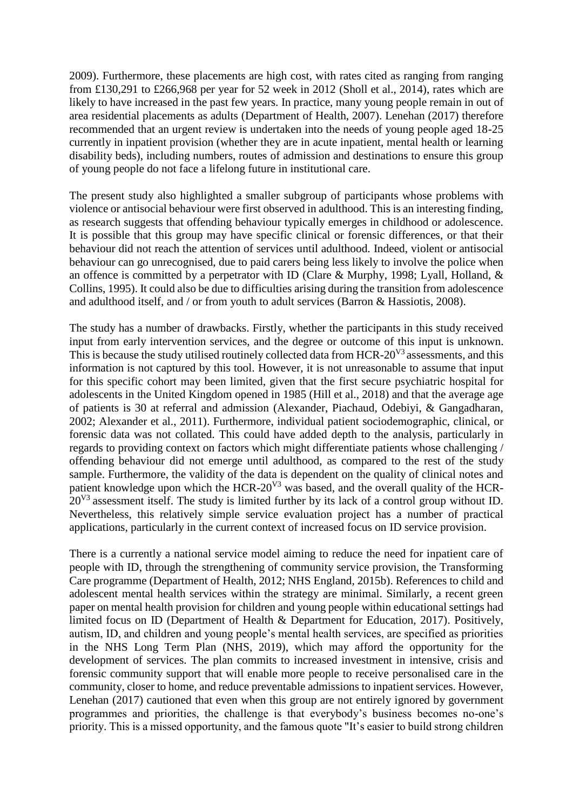2009). Furthermore, these placements are high cost, with rates cited as ranging from ranging from £130,291 to £266,968 per year for 52 week in 2012 (Sholl et al., 2014), rates which are likely to have increased in the past few years. In practice, many young people remain in out of area residential placements as adults (Department of Health, 2007). Lenehan (2017) therefore recommended that an urgent review is undertaken into the needs of young people aged 18-25 currently in inpatient provision (whether they are in acute inpatient, mental health or learning disability beds), including numbers, routes of admission and destinations to ensure this group of young people do not face a lifelong future in institutional care.

The present study also highlighted a smaller subgroup of participants whose problems with violence or antisocial behaviour were first observed in adulthood. This is an interesting finding, as research suggests that offending behaviour typically emerges in childhood or adolescence. It is possible that this group may have specific clinical or forensic differences, or that their behaviour did not reach the attention of services until adulthood. Indeed, violent or antisocial behaviour can go unrecognised, due to paid carers being less likely to involve the police when an offence is committed by a perpetrator with ID (Clare & Murphy, 1998; Lyall, Holland, & Collins, 1995). It could also be due to difficulties arising during the transition from adolescence and adulthood itself, and / or from youth to adult services (Barron & Hassiotis, 2008).

The study has a number of drawbacks. Firstly, whether the participants in this study received input from early intervention services, and the degree or outcome of this input is unknown. This is because the study utilised routinely collected data from HCR-20<sup>V3</sup> assessments, and this information is not captured by this tool. However, it is not unreasonable to assume that input for this specific cohort may been limited, given that the first secure psychiatric hospital for adolescents in the United Kingdom opened in 1985 (Hill et al., 2018) and that the average age of patients is 30 at referral and admission (Alexander, Piachaud, Odebiyi, & Gangadharan, 2002; Alexander et al., 2011). Furthermore, individual patient sociodemographic, clinical, or forensic data was not collated. This could have added depth to the analysis, particularly in regards to providing context on factors which might differentiate patients whose challenging / offending behaviour did not emerge until adulthood, as compared to the rest of the study sample. Furthermore, the validity of the data is dependent on the quality of clinical notes and patient knowledge upon which the HCR-20 $V<sup>3</sup>$  was based, and the overall quality of the HCR- $20^{V3}$  assessment itself. The study is limited further by its lack of a control group without ID. Nevertheless, this relatively simple service evaluation project has a number of practical applications, particularly in the current context of increased focus on ID service provision.

There is a currently a national service model aiming to reduce the need for inpatient care of people with ID, through the strengthening of community service provision, the Transforming Care programme (Department of Health, 2012; NHS England, 2015b). References to child and adolescent mental health services within the strategy are minimal. Similarly, a recent green paper on mental health provision for children and young people within educational settings had limited focus on ID (Department of Health & Department for Education, 2017). Positively, autism, ID, and children and young people's mental health services, are specified as priorities in the NHS Long Term Plan (NHS, 2019), which may afford the opportunity for the development of services. The plan commits to increased investment in intensive, crisis and forensic community support that will enable more people to receive personalised care in the community, closer to home, and reduce preventable admissions to inpatient services. However, Lenehan (2017) cautioned that even when this group are not entirely ignored by government programmes and priorities, the challenge is that everybody's business becomes no-one's priority. This is a missed opportunity, and the famous quote "It's easier to build strong children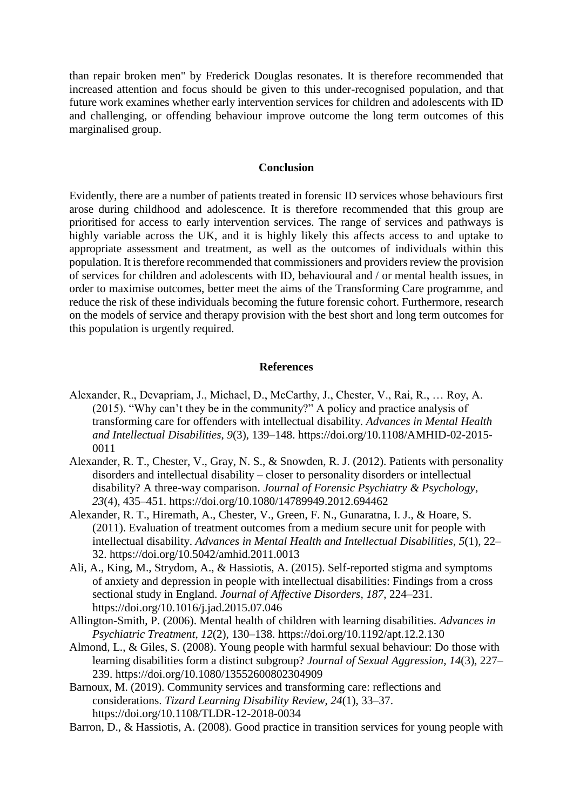than repair broken men" by Frederick Douglas resonates. It is therefore recommended that increased attention and focus should be given to this under-recognised population, and that future work examines whether early intervention services for children and adolescents with ID and challenging, or offending behaviour improve outcome the long term outcomes of this marginalised group.

#### **Conclusion**

Evidently, there are a number of patients treated in forensic ID services whose behaviours first arose during childhood and adolescence. It is therefore recommended that this group are prioritised for access to early intervention services. The range of services and pathways is highly variable across the UK, and it is highly likely this affects access to and uptake to appropriate assessment and treatment, as well as the outcomes of individuals within this population. It is therefore recommended that commissioners and providers review the provision of services for children and adolescents with ID, behavioural and / or mental health issues, in order to maximise outcomes, better meet the aims of the Transforming Care programme, and reduce the risk of these individuals becoming the future forensic cohort. Furthermore, research on the models of service and therapy provision with the best short and long term outcomes for this population is urgently required.

### **References**

- Alexander, R., Devapriam, J., Michael, D., McCarthy, J., Chester, V., Rai, R., … Roy, A. (2015). "Why can't they be in the community?" A policy and practice analysis of transforming care for offenders with intellectual disability. *Advances in Mental Health and Intellectual Disabilities*, *9*(3), 139–148. https://doi.org/10.1108/AMHID-02-2015- 0011
- Alexander, R. T., Chester, V., Gray, N. S., & Snowden, R. J. (2012). Patients with personality disorders and intellectual disability – closer to personality disorders or intellectual disability? A three-way comparison. *Journal of Forensic Psychiatry & Psychology*, *23*(4), 435–451. https://doi.org/10.1080/14789949.2012.694462
- Alexander, R. T., Hiremath, A., Chester, V., Green, F. N., Gunaratna, I. J., & Hoare, S. (2011). Evaluation of treatment outcomes from a medium secure unit for people with intellectual disability. *Advances in Mental Health and Intellectual Disabilities*, *5*(1), 22– 32. https://doi.org/10.5042/amhid.2011.0013
- Ali, A., King, M., Strydom, A., & Hassiotis, A. (2015). Self-reported stigma and symptoms of anxiety and depression in people with intellectual disabilities: Findings from a cross sectional study in England. *Journal of Affective Disorders*, *187*, 224–231. https://doi.org/10.1016/j.jad.2015.07.046
- Allington-Smith, P. (2006). Mental health of children with learning disabilities. *Advances in Psychiatric Treatment*, *12*(2), 130–138. https://doi.org/10.1192/apt.12.2.130
- Almond, L., & Giles, S. (2008). Young people with harmful sexual behaviour: Do those with learning disabilities form a distinct subgroup? *Journal of Sexual Aggression*, *14*(3), 227– 239. https://doi.org/10.1080/13552600802304909
- Barnoux, M. (2019). Community services and transforming care: reflections and considerations. *Tizard Learning Disability Review*, *24*(1), 33–37. https://doi.org/10.1108/TLDR-12-2018-0034
- Barron, D., & Hassiotis, A. (2008). Good practice in transition services for young people with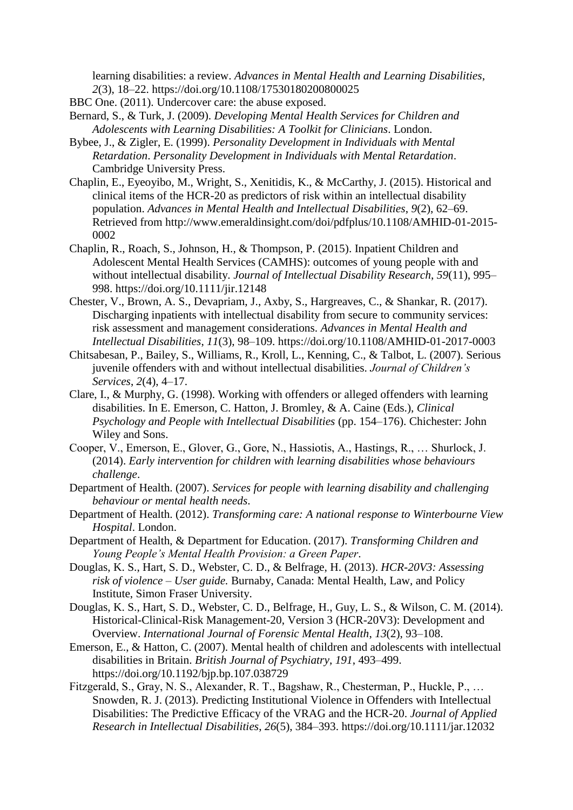learning disabilities: a review. *Advances in Mental Health and Learning Disabilities*, *2*(3), 18–22. https://doi.org/10.1108/17530180200800025

BBC One. (2011). Undercover care: the abuse exposed.

- Bernard, S., & Turk, J. (2009). *Developing Mental Health Services for Children and Adolescents with Learning Disabilities: A Toolkit for Clinicians*. London.
- Bybee, J., & Zigler, E. (1999). *Personality Development in Individuals with Mental Retardation*. *Personality Development in Individuals with Mental Retardation*. Cambridge University Press.
- Chaplin, E., Eyeoyibo, M., Wright, S., Xenitidis, K., & McCarthy, J. (2015). Historical and clinical items of the HCR-20 as predictors of risk within an intellectual disability population. *Advances in Mental Health and Intellectual Disabilities*, *9*(2), 62–69. Retrieved from http://www.emeraldinsight.com/doi/pdfplus/10.1108/AMHID-01-2015- 0002
- Chaplin, R., Roach, S., Johnson, H., & Thompson, P. (2015). Inpatient Children and Adolescent Mental Health Services (CAMHS): outcomes of young people with and without intellectual disability. *Journal of Intellectual Disability Research*, *59*(11), 995– 998. https://doi.org/10.1111/jir.12148
- Chester, V., Brown, A. S., Devapriam, J., Axby, S., Hargreaves, C., & Shankar, R. (2017). Discharging inpatients with intellectual disability from secure to community services: risk assessment and management considerations. *Advances in Mental Health and Intellectual Disabilities*, *11*(3), 98–109. https://doi.org/10.1108/AMHID-01-2017-0003
- Chitsabesan, P., Bailey, S., Williams, R., Kroll, L., Kenning, C., & Talbot, L. (2007). Serious juvenile offenders with and without intellectual disabilities. *Journal of Children's Services*, *2*(4), 4–17.
- Clare, I., & Murphy, G. (1998). Working with offenders or alleged offenders with learning disabilities. In E. Emerson, C. Hatton, J. Bromley, & A. Caine (Eds.), *Clinical Psychology and People with Intellectual Disabilities* (pp. 154–176). Chichester: John Wiley and Sons.
- Cooper, V., Emerson, E., Glover, G., Gore, N., Hassiotis, A., Hastings, R., … Shurlock, J. (2014). *Early intervention for children with learning disabilities whose behaviours challenge*.
- Department of Health. (2007). *Services for people with learning disability and challenging behaviour or mental health needs*.
- Department of Health. (2012). *Transforming care: A national response to Winterbourne View Hospital*. London.
- Department of Health, & Department for Education. (2017). *Transforming Children and Young People's Mental Health Provision: a Green Paper*.
- Douglas, K. S., Hart, S. D., Webster, C. D., & Belfrage, H. (2013). *HCR-20V3: Assessing risk of violence – User guide.* Burnaby, Canada: Mental Health, Law, and Policy Institute, Simon Fraser University.
- Douglas, K. S., Hart, S. D., Webster, C. D., Belfrage, H., Guy, L. S., & Wilson, C. M. (2014). Historical-Clinical-Risk Management-20, Version 3 (HCR-20V3): Development and Overview. *International Journal of Forensic Mental Health*, *13*(2), 93–108.
- Emerson, E., & Hatton, C. (2007). Mental health of children and adolescents with intellectual disabilities in Britain. *British Journal of Psychiatry*, *191*, 493–499. https://doi.org/10.1192/bjp.bp.107.038729
- Fitzgerald, S., Gray, N. S., Alexander, R. T., Bagshaw, R., Chesterman, P., Huckle, P., … Snowden, R. J. (2013). Predicting Institutional Violence in Offenders with Intellectual Disabilities: The Predictive Efficacy of the VRAG and the HCR-20. *Journal of Applied Research in Intellectual Disabilities*, *26*(5), 384–393. https://doi.org/10.1111/jar.12032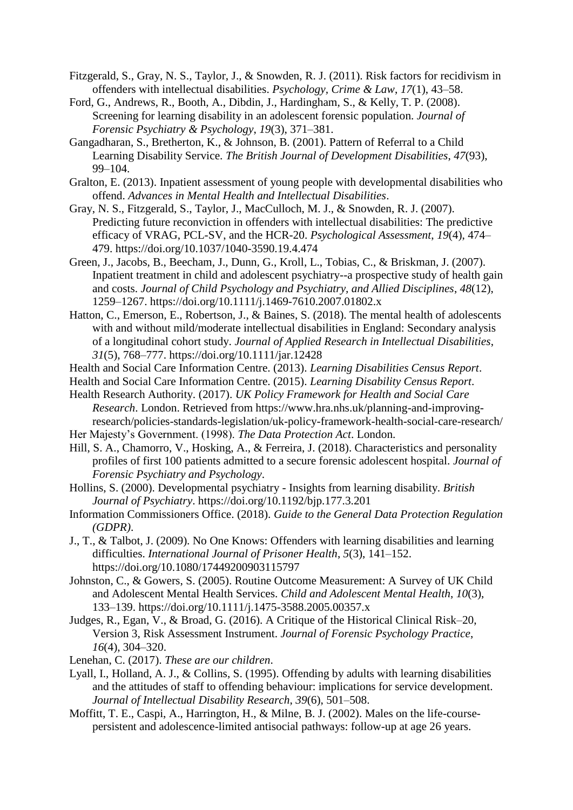- Fitzgerald, S., Gray, N. S., Taylor, J., & Snowden, R. J. (2011). Risk factors for recidivism in offenders with intellectual disabilities. *Psychology, Crime & Law*, *17*(1), 43–58.
- Ford, G., Andrews, R., Booth, A., Dibdin, J., Hardingham, S., & Kelly, T. P. (2008). Screening for learning disability in an adolescent forensic population. *Journal of Forensic Psychiatry & Psychology*, *19*(3), 371–381.
- Gangadharan, S., Bretherton, K., & Johnson, B. (2001). Pattern of Referral to a Child Learning Disability Service. *The British Journal of Development Disabilities*, *47*(93), 99–104.
- Gralton, E. (2013). Inpatient assessment of young people with developmental disabilities who offend. *Advances in Mental Health and Intellectual Disabilities*.
- Gray, N. S., Fitzgerald, S., Taylor, J., MacCulloch, M. J., & Snowden, R. J. (2007). Predicting future reconviction in offenders with intellectual disabilities: The predictive efficacy of VRAG, PCL-SV, and the HCR-20. *Psychological Assessment*, *19*(4), 474– 479. https://doi.org/10.1037/1040-3590.19.4.474
- Green, J., Jacobs, B., Beecham, J., Dunn, G., Kroll, L., Tobias, C., & Briskman, J. (2007). Inpatient treatment in child and adolescent psychiatry--a prospective study of health gain and costs. *Journal of Child Psychology and Psychiatry, and Allied Disciplines*, *48*(12), 1259–1267. https://doi.org/10.1111/j.1469-7610.2007.01802.x
- Hatton, C., Emerson, E., Robertson, J., & Baines, S. (2018). The mental health of adolescents with and without mild/moderate intellectual disabilities in England: Secondary analysis of a longitudinal cohort study. *Journal of Applied Research in Intellectual Disabilities*, *31*(5), 768–777. https://doi.org/10.1111/jar.12428
- Health and Social Care Information Centre. (2013). *Learning Disabilities Census Report*.
- Health and Social Care Information Centre. (2015). *Learning Disability Census Report*.
- Health Research Authority. (2017). *UK Policy Framework for Health and Social Care Research*. London. Retrieved from https://www.hra.nhs.uk/planning-and-improvingresearch/policies-standards-legislation/uk-policy-framework-health-social-care-research/
- Her Majesty's Government. (1998). *The Data Protection Act*. London.
- Hill, S. A., Chamorro, V., Hosking, A., & Ferreira, J. (2018). Characteristics and personality profiles of first 100 patients admitted to a secure forensic adolescent hospital. *Journal of Forensic Psychiatry and Psychology*.
- Hollins, S. (2000). Developmental psychiatry Insights from learning disability. *British Journal of Psychiatry*. https://doi.org/10.1192/bjp.177.3.201
- Information Commissioners Office. (2018). *Guide to the General Data Protection Regulation (GDPR)*.
- J., T., & Talbot, J. (2009). No One Knows: Offenders with learning disabilities and learning difficulties. *International Journal of Prisoner Health*, *5*(3), 141–152. https://doi.org/10.1080/17449200903115797
- Johnston, C., & Gowers, S. (2005). Routine Outcome Measurement: A Survey of UK Child and Adolescent Mental Health Services. *Child and Adolescent Mental Health*, *10*(3), 133–139. https://doi.org/10.1111/j.1475-3588.2005.00357.x
- Judges, R., Egan, V., & Broad, G. (2016). A Critique of the Historical Clinical Risk–20, Version 3, Risk Assessment Instrument. *Journal of Forensic Psychology Practice*, *16*(4), 304–320.
- Lenehan, C. (2017). *These are our children*.
- Lyall, I., Holland, A. J., & Collins, S. (1995). Offending by adults with learning disabilities and the attitudes of staff to offending behaviour: implications for service development. *Journal of Intellectual Disability Research*, *39*(6), 501–508.
- Moffitt, T. E., Caspi, A., Harrington, H., & Milne, B. J. (2002). Males on the life-coursepersistent and adolescence-limited antisocial pathways: follow-up at age 26 years.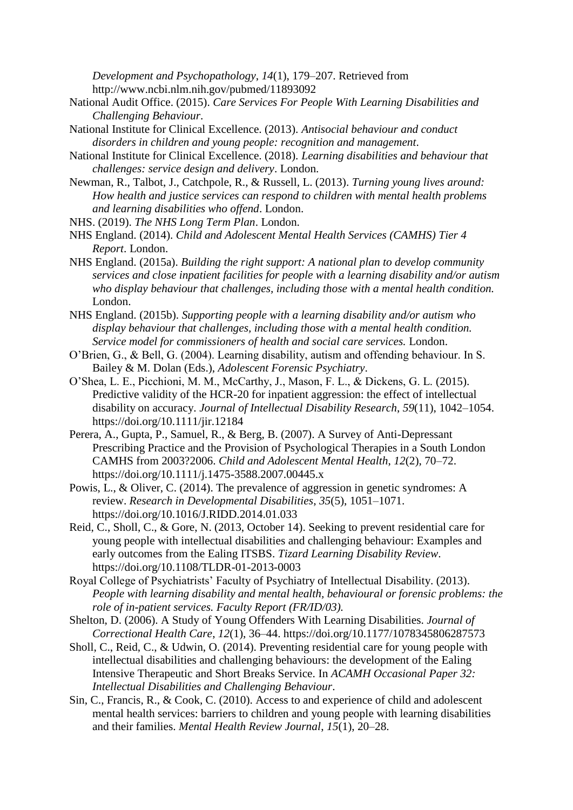*Development and Psychopathology*, *14*(1), 179–207. Retrieved from http://www.ncbi.nlm.nih.gov/pubmed/11893092

- National Audit Office. (2015). *Care Services For People With Learning Disabilities and Challenging Behaviour*.
- National Institute for Clinical Excellence. (2013). *Antisocial behaviour and conduct disorders in children and young people: recognition and management*.
- National Institute for Clinical Excellence. (2018). *Learning disabilities and behaviour that challenges: service design and delivery*. London.
- Newman, R., Talbot, J., Catchpole, R., & Russell, L. (2013). *Turning young lives around: How health and justice services can respond to children with mental health problems and learning disabilities who offend*. London.
- NHS. (2019). *The NHS Long Term Plan*. London.
- NHS England. (2014). *Child and Adolescent Mental Health Services (CAMHS) Tier 4 Report*. London.
- NHS England. (2015a). *Building the right support: A national plan to develop community services and close inpatient facilities for people with a learning disability and/or autism who display behaviour that challenges, including those with a mental health condition.* London.
- NHS England. (2015b). *Supporting people with a learning disability and/or autism who display behaviour that challenges, including those with a mental health condition. Service model for commissioners of health and social care services.* London.
- O'Brien, G., & Bell, G. (2004). Learning disability, autism and offending behaviour. In S. Bailey & M. Dolan (Eds.), *Adolescent Forensic Psychiatry*.
- O'Shea, L. E., Picchioni, M. M., McCarthy, J., Mason, F. L., & Dickens, G. L. (2015). Predictive validity of the HCR-20 for inpatient aggression: the effect of intellectual disability on accuracy. *Journal of Intellectual Disability Research*, *59*(11), 1042–1054. https://doi.org/10.1111/jir.12184
- Perera, A., Gupta, P., Samuel, R., & Berg, B. (2007). A Survey of Anti-Depressant Prescribing Practice and the Provision of Psychological Therapies in a South London CAMHS from 2003?2006. *Child and Adolescent Mental Health*, *12*(2), 70–72. https://doi.org/10.1111/j.1475-3588.2007.00445.x
- Powis, L., & Oliver, C. (2014). The prevalence of aggression in genetic syndromes: A review. *Research in Developmental Disabilities*, *35*(5), 1051–1071. https://doi.org/10.1016/J.RIDD.2014.01.033
- Reid, C., Sholl, C., & Gore, N. (2013, October 14). Seeking to prevent residential care for young people with intellectual disabilities and challenging behaviour: Examples and early outcomes from the Ealing ITSBS. *Tizard Learning Disability Review*. https://doi.org/10.1108/TLDR-01-2013-0003
- Royal College of Psychiatrists' Faculty of Psychiatry of Intellectual Disability. (2013). *People with learning disability and mental health, behavioural or forensic problems: the role of in-patient services. Faculty Report (FR/ID/03).*
- Shelton, D. (2006). A Study of Young Offenders With Learning Disabilities. *Journal of Correctional Health Care*, *12*(1), 36–44. https://doi.org/10.1177/1078345806287573
- Sholl, C., Reid, C., & Udwin, O. (2014). Preventing residential care for young people with intellectual disabilities and challenging behaviours: the development of the Ealing Intensive Therapeutic and Short Breaks Service. In *ACAMH Occasional Paper 32: Intellectual Disabilities and Challenging Behaviour*.
- Sin, C., Francis, R., & Cook, C. (2010). Access to and experience of child and adolescent mental health services: barriers to children and young people with learning disabilities and their families. *Mental Health Review Journal*, *15*(1), 20–28.